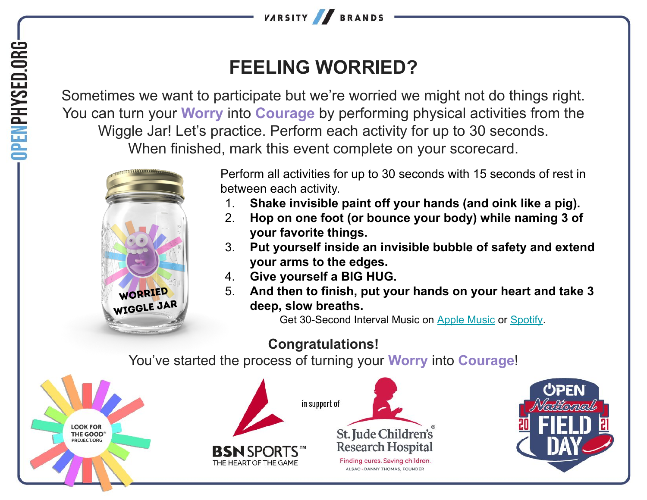

## **FEELING WORRIED?**

Sometimes we want to participate but we're worried we might not do things right. You can turn your **Worry** into **Courage** by performing physical activities from the Wiggle Jar! Let's practice. Perform each activity for up to 30 seconds. When finished, mark this event complete on your scorecard.



Perform all activities for up to 30 seconds with 15 seconds of rest in between each activity.

- 1. **Shake invisible paint off your hands (and oink like a pig).**
- 2. **Hop on one foot (or bounce your body) while naming 3 of your favorite things.**
- 3. **Put yourself inside an invisible bubble of safety and extend your arms to the edges.**
- 4. **Give yourself a BIG HUG.**
- 5. **And then to finish, put your hands on your heart and take 3 deep, slow breaths.**

Get 30-Second Interval Music on [Apple Music](https://music.apple.com/us/album/hhd-30-second-intervals-with-15-second-breaks/553186898?i=553186900) or [Spotify](https://open.spotify.com/track/1sHvWHLbTXwzx9IEPdS7RH?si=49e962017fc040ef).

## **Congratulations!**

You've started the process of turning your **Worry** into **Courage**!